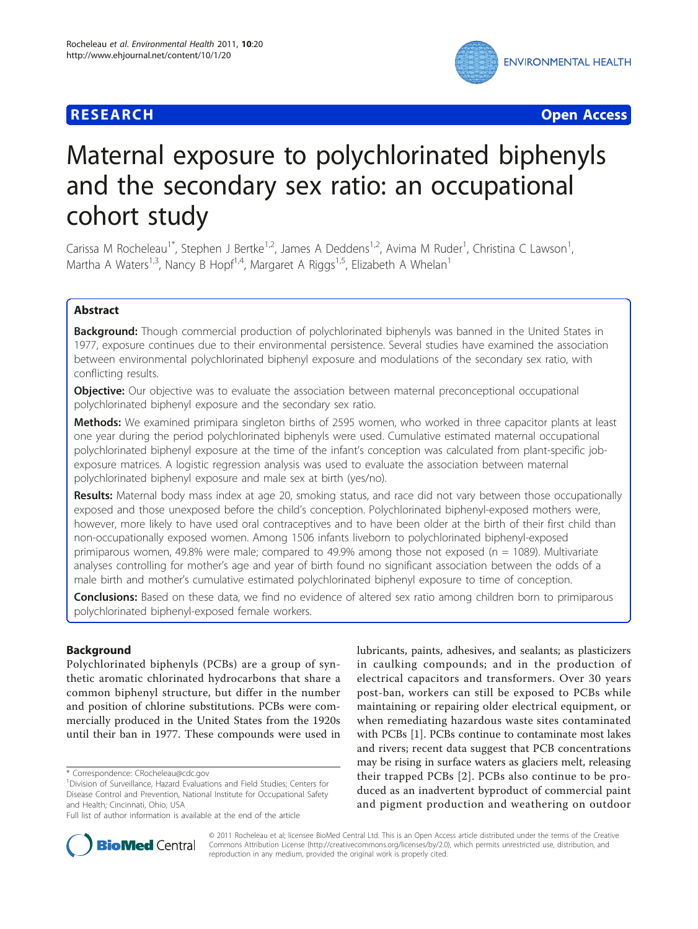

**RESEARCH CONTROL** CONTROL CONTROL CONTROL CONTROL CONTROL CONTROL CONTROL CONTROL CONTROL CONTROL CONTROL CONTROL

# Maternal exposure to polychlorinated biphenyls and the secondary sex ratio: an occupational cohort study

Carissa M Rocheleau<sup>1\*</sup>, Stephen J Bertke<sup>1,2</sup>, James A Deddens<sup>1,2</sup>, Avima M Ruder<sup>1</sup>, Christina C Lawson<sup>1</sup> , Martha A Waters<sup>1,3</sup>, Nancy B Hopf<sup>1,4</sup>, Margaret A Riggs<sup>1,5</sup>, Elizabeth A Whelan<sup>1</sup>

# Abstract

**Background:** Though commercial production of polychlorinated biphenyls was banned in the United States in 1977, exposure continues due to their environmental persistence. Several studies have examined the association between environmental polychlorinated biphenyl exposure and modulations of the secondary sex ratio, with conflicting results.

**Objective:** Our objective was to evaluate the association between maternal preconceptional occupational polychlorinated biphenyl exposure and the secondary sex ratio.

Methods: We examined primipara singleton births of 2595 women, who worked in three capacitor plants at least one year during the period polychlorinated biphenyls were used. Cumulative estimated maternal occupational polychlorinated biphenyl exposure at the time of the infant's conception was calculated from plant-specific jobexposure matrices. A logistic regression analysis was used to evaluate the association between maternal polychlorinated biphenyl exposure and male sex at birth (yes/no).

Results: Maternal body mass index at age 20, smoking status, and race did not vary between those occupationally exposed and those unexposed before the child's conception. Polychlorinated biphenyl-exposed mothers were, however, more likely to have used oral contraceptives and to have been older at the birth of their first child than non-occupationally exposed women. Among 1506 infants liveborn to polychlorinated biphenyl-exposed primiparous women, 49.8% were male; compared to 49.9% among those not exposed (n = 1089). Multivariate analyses controlling for mother's age and year of birth found no significant association between the odds of a male birth and mother's cumulative estimated polychlorinated biphenyl exposure to time of conception.

**Conclusions:** Based on these data, we find no evidence of altered sex ratio among children born to primiparous polychlorinated biphenyl-exposed female workers.

# Background

Polychlorinated biphenyls (PCBs) are a group of synthetic aromatic chlorinated hydrocarbons that share a common biphenyl structure, but differ in the number and position of chlorine substitutions. PCBs were commercially produced in the United States from the 1920s until their ban in 1977. These compounds were used in

\* Correspondence: [CRocheleau@cdc.gov](mailto:CRocheleau@cdc.gov)

lubricants, paints, adhesives, and sealants; as plasticizers in caulking compounds; and in the production of electrical capacitors and transformers. Over 30 years post-ban, workers can still be exposed to PCBs while maintaining or repairing older electrical equipment, or when remediating hazardous waste sites contaminated with PCBs [\[1](#page-8-0)]. PCBs continue to contaminate most lakes and rivers; recent data suggest that PCB concentrations may be rising in surface waters as glaciers melt, releasing their trapped PCBs [[2](#page-8-0)]. PCBs also continue to be produced as an inadvertent byproduct of commercial paint and pigment production and weathering on outdoor



© 2011 Rocheleau et al; licensee BioMed Central Ltd. This is an Open Access article distributed under the terms of the Creative Commons Attribution License [\(http://creativecommons.org/licenses/by/2.0](http://creativecommons.org/licenses/by/2.0)), which permits unrestricted use, distribution, and reproduction in any medium, provided the original work is properly cited.

<sup>&</sup>lt;sup>1</sup> Division of Surveillance, Hazard Evaluations and Field Studies; Centers for Disease Control and Prevention, National Institute for Occupational Safety and Health; Cincinnati, Ohio, USA

Full list of author information is available at the end of the article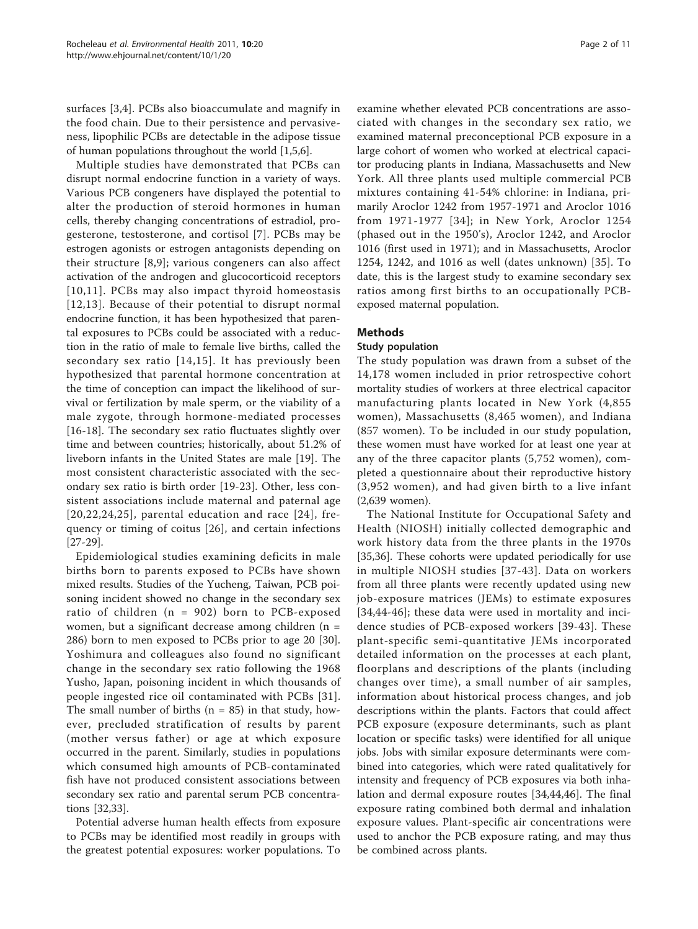surfaces [[3,4](#page-8-0)]. PCBs also bioaccumulate and magnify in the food chain. Due to their persistence and pervasiveness, lipophilic PCBs are detectable in the adipose tissue of human populations throughout the world [\[1,5,6](#page-8-0)].

Multiple studies have demonstrated that PCBs can disrupt normal endocrine function in a variety of ways. Various PCB congeners have displayed the potential to alter the production of steroid hormones in human cells, thereby changing concentrations of estradiol, progesterone, testosterone, and cortisol [\[7\]](#page-8-0). PCBs may be estrogen agonists or estrogen antagonists depending on their structure [[8](#page-8-0),[9\]](#page-8-0); various congeners can also affect activation of the androgen and glucocorticoid receptors [[10](#page-9-0),[11](#page-9-0)]. PCBs may also impact thyroid homeostasis [[12,13\]](#page-9-0). Because of their potential to disrupt normal endocrine function, it has been hypothesized that parental exposures to PCBs could be associated with a reduction in the ratio of male to female live births, called the secondary sex ratio [[14,15\]](#page-9-0). It has previously been hypothesized that parental hormone concentration at the time of conception can impact the likelihood of survival or fertilization by male sperm, or the viability of a male zygote, through hormone-mediated processes [[16-18\]](#page-9-0). The secondary sex ratio fluctuates slightly over time and between countries; historically, about 51.2% of liveborn infants in the United States are male [\[19](#page-9-0)]. The most consistent characteristic associated with the secondary sex ratio is birth order [[19-23](#page-9-0)]. Other, less consistent associations include maternal and paternal age  $[20,22,24,25]$  $[20,22,24,25]$  $[20,22,24,25]$  $[20,22,24,25]$  $[20,22,24,25]$  $[20,22,24,25]$ , parental education and race  $[24]$  $[24]$ , frequency or timing of coitus [[26](#page-9-0)], and certain infections [[27-29\]](#page-9-0).

Epidemiological studies examining deficits in male births born to parents exposed to PCBs have shown mixed results. Studies of the Yucheng, Taiwan, PCB poisoning incident showed no change in the secondary sex ratio of children (n = 902) born to PCB-exposed women, but a significant decrease among children (n = 286) born to men exposed to PCBs prior to age 20 [\[30](#page-9-0)]. Yoshimura and colleagues also found no significant change in the secondary sex ratio following the 1968 Yusho, Japan, poisoning incident in which thousands of people ingested rice oil contaminated with PCBs [[31\]](#page-9-0). The small number of births  $(n = 85)$  in that study, however, precluded stratification of results by parent (mother versus father) or age at which exposure occurred in the parent. Similarly, studies in populations which consumed high amounts of PCB-contaminated fish have not produced consistent associations between secondary sex ratio and parental serum PCB concentrations [\[32,33\]](#page-9-0).

Potential adverse human health effects from exposure to PCBs may be identified most readily in groups with the greatest potential exposures: worker populations. To

examine whether elevated PCB concentrations are associated with changes in the secondary sex ratio, we examined maternal preconceptional PCB exposure in a large cohort of women who worked at electrical capacitor producing plants in Indiana, Massachusetts and New York. All three plants used multiple commercial PCB mixtures containing 41-54% chlorine: in Indiana, primarily Aroclor 1242 from 1957-1971 and Aroclor 1016 from 1971-1977 [[34\]](#page-9-0); in New York, Aroclor 1254 (phased out in the 1950's), Aroclor 1242, and Aroclor 1016 (first used in 1971); and in Massachusetts, Aroclor 1254, 1242, and 1016 as well (dates unknown) [[35\]](#page-9-0). To date, this is the largest study to examine secondary sex ratios among first births to an occupationally PCBexposed maternal population.

# Methods

#### Study population

The study population was drawn from a subset of the 14,178 women included in prior retrospective cohort mortality studies of workers at three electrical capacitor manufacturing plants located in New York (4,855 women), Massachusetts (8,465 women), and Indiana (857 women). To be included in our study population, these women must have worked for at least one year at any of the three capacitor plants (5,752 women), completed a questionnaire about their reproductive history (3,952 women), and had given birth to a live infant (2,639 women).

The National Institute for Occupational Safety and Health (NIOSH) initially collected demographic and work history data from the three plants in the 1970s [[35,36\]](#page-9-0). These cohorts were updated periodically for use in multiple NIOSH studies [[37-43\]](#page-9-0). Data on workers from all three plants were recently updated using new job-exposure matrices (JEMs) to estimate exposures [[34](#page-9-0),[44-46\]](#page-9-0); these data were used in mortality and incidence studies of PCB-exposed workers [[39-43](#page-9-0)]. These plant-specific semi-quantitative JEMs incorporated detailed information on the processes at each plant, floorplans and descriptions of the plants (including changes over time), a small number of air samples, information about historical process changes, and job descriptions within the plants. Factors that could affect PCB exposure (exposure determinants, such as plant location or specific tasks) were identified for all unique jobs. Jobs with similar exposure determinants were combined into categories, which were rated qualitatively for intensity and frequency of PCB exposures via both inhalation and dermal exposure routes [[34,44,46](#page-9-0)]. The final exposure rating combined both dermal and inhalation exposure values. Plant-specific air concentrations were used to anchor the PCB exposure rating, and may thus be combined across plants.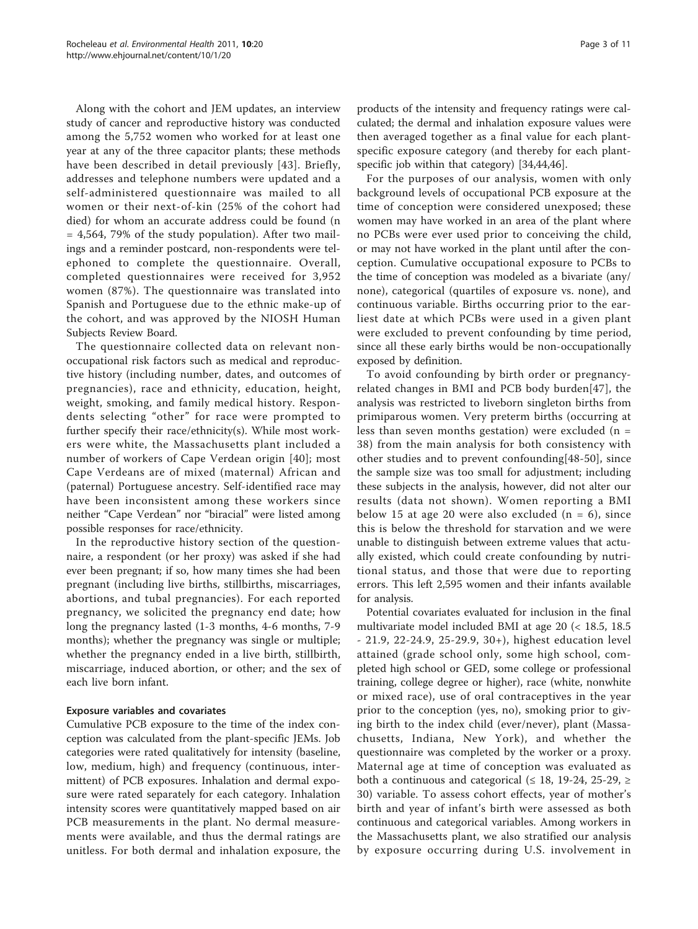Along with the cohort and JEM updates, an interview study of cancer and reproductive history was conducted among the 5,752 women who worked for at least one year at any of the three capacitor plants; these methods have been described in detail previously [[43\]](#page-9-0). Briefly, addresses and telephone numbers were updated and a self-administered questionnaire was mailed to all women or their next-of-kin (25% of the cohort had died) for whom an accurate address could be found (n = 4,564, 79% of the study population). After two mailings and a reminder postcard, non-respondents were telephoned to complete the questionnaire. Overall, completed questionnaires were received for 3,952 women (87%). The questionnaire was translated into Spanish and Portuguese due to the ethnic make-up of the cohort, and was approved by the NIOSH Human Subjects Review Board.

The questionnaire collected data on relevant nonoccupational risk factors such as medical and reproductive history (including number, dates, and outcomes of pregnancies), race and ethnicity, education, height, weight, smoking, and family medical history. Respondents selecting "other" for race were prompted to further specify their race/ethnicity(s). While most workers were white, the Massachusetts plant included a number of workers of Cape Verdean origin [\[40\]](#page-9-0); most Cape Verdeans are of mixed (maternal) African and (paternal) Portuguese ancestry. Self-identified race may have been inconsistent among these workers since neither "Cape Verdean" nor "biracial" were listed among possible responses for race/ethnicity.

In the reproductive history section of the questionnaire, a respondent (or her proxy) was asked if she had ever been pregnant; if so, how many times she had been pregnant (including live births, stillbirths, miscarriages, abortions, and tubal pregnancies). For each reported pregnancy, we solicited the pregnancy end date; how long the pregnancy lasted (1-3 months, 4-6 months, 7-9 months); whether the pregnancy was single or multiple; whether the pregnancy ended in a live birth, stillbirth, miscarriage, induced abortion, or other; and the sex of each live born infant.

# Exposure variables and covariates

Cumulative PCB exposure to the time of the index conception was calculated from the plant-specific JEMs. Job categories were rated qualitatively for intensity (baseline, low, medium, high) and frequency (continuous, intermittent) of PCB exposures. Inhalation and dermal exposure were rated separately for each category. Inhalation intensity scores were quantitatively mapped based on air PCB measurements in the plant. No dermal measurements were available, and thus the dermal ratings are unitless. For both dermal and inhalation exposure, the products of the intensity and frequency ratings were calculated; the dermal and inhalation exposure values were then averaged together as a final value for each plantspecific exposure category (and thereby for each plantspecific job within that category) [[34](#page-9-0),[44,46](#page-9-0)].

For the purposes of our analysis, women with only background levels of occupational PCB exposure at the time of conception were considered unexposed; these women may have worked in an area of the plant where no PCBs were ever used prior to conceiving the child, or may not have worked in the plant until after the conception. Cumulative occupational exposure to PCBs to the time of conception was modeled as a bivariate (any/ none), categorical (quartiles of exposure vs. none), and continuous variable. Births occurring prior to the earliest date at which PCBs were used in a given plant were excluded to prevent confounding by time period, since all these early births would be non-occupationally exposed by definition.

To avoid confounding by birth order or pregnancyrelated changes in BMI and PCB body burden[\[47](#page-9-0)], the analysis was restricted to liveborn singleton births from primiparous women. Very preterm births (occurring at less than seven months gestation) were excluded ( $n =$ 38) from the main analysis for both consistency with other studies and to prevent confounding[[48-50\]](#page-9-0), since the sample size was too small for adjustment; including these subjects in the analysis, however, did not alter our results (data not shown). Women reporting a BMI below 15 at age 20 were also excluded  $(n = 6)$ , since this is below the threshold for starvation and we were unable to distinguish between extreme values that actually existed, which could create confounding by nutritional status, and those that were due to reporting errors. This left 2,595 women and their infants available for analysis.

Potential covariates evaluated for inclusion in the final multivariate model included BMI at age 20 (< 18.5, 18.5 - 21.9, 22-24.9, 25-29.9, 30+), highest education level attained (grade school only, some high school, completed high school or GED, some college or professional training, college degree or higher), race (white, nonwhite or mixed race), use of oral contraceptives in the year prior to the conception (yes, no), smoking prior to giving birth to the index child (ever/never), plant (Massachusetts, Indiana, New York), and whether the questionnaire was completed by the worker or a proxy. Maternal age at time of conception was evaluated as both a continuous and categorical ( $\leq$  18, 19-24, 25-29,  $\geq$ 30) variable. To assess cohort effects, year of mother's birth and year of infant's birth were assessed as both continuous and categorical variables. Among workers in the Massachusetts plant, we also stratified our analysis by exposure occurring during U.S. involvement in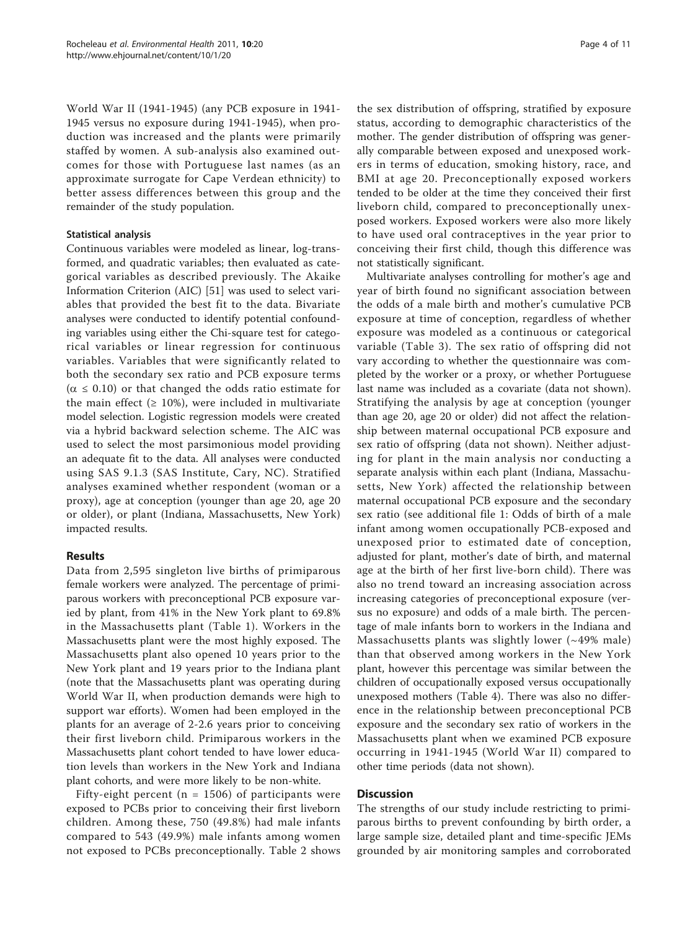World War II (1941-1945) (any PCB exposure in 1941- 1945 versus no exposure during 1941-1945), when production was increased and the plants were primarily staffed by women. A sub-analysis also examined outcomes for those with Portuguese last names (as an approximate surrogate for Cape Verdean ethnicity) to better assess differences between this group and the remainder of the study population.

#### Statistical analysis

Continuous variables were modeled as linear, log-transformed, and quadratic variables; then evaluated as categorical variables as described previously. The Akaike Information Criterion (AIC) [[51](#page-9-0)] was used to select variables that provided the best fit to the data. Bivariate analyses were conducted to identify potential confounding variables using either the Chi-square test for categorical variables or linear regression for continuous variables. Variables that were significantly related to both the secondary sex ratio and PCB exposure terms  $(\alpha \leq 0.10)$  or that changed the odds ratio estimate for the main effect ( $\geq 10\%$ ), were included in multivariate model selection. Logistic regression models were created via a hybrid backward selection scheme. The AIC was used to select the most parsimonious model providing an adequate fit to the data. All analyses were conducted using SAS 9.1.3 (SAS Institute, Cary, NC). Stratified analyses examined whether respondent (woman or a proxy), age at conception (younger than age 20, age 20 or older), or plant (Indiana, Massachusetts, New York) impacted results.

# Results

Data from 2,595 singleton live births of primiparous female workers were analyzed. The percentage of primiparous workers with preconceptional PCB exposure varied by plant, from 41% in the New York plant to 69.8% in the Massachusetts plant (Table [1\)](#page-4-0). Workers in the Massachusetts plant were the most highly exposed. The Massachusetts plant also opened 10 years prior to the New York plant and 19 years prior to the Indiana plant (note that the Massachusetts plant was operating during World War II, when production demands were high to support war efforts). Women had been employed in the plants for an average of 2-2.6 years prior to conceiving their first liveborn child. Primiparous workers in the Massachusetts plant cohort tended to have lower education levels than workers in the New York and Indiana plant cohorts, and were more likely to be non-white.

Fifty-eight percent ( $n = 1506$ ) of participants were exposed to PCBs prior to conceiving their first liveborn children. Among these, 750 (49.8%) had male infants compared to 543 (49.9%) male infants among women not exposed to PCBs preconceptionally. Table [2](#page-5-0) shows

the sex distribution of offspring, stratified by exposure status, according to demographic characteristics of the mother. The gender distribution of offspring was generally comparable between exposed and unexposed workers in terms of education, smoking history, race, and BMI at age 20. Preconceptionally exposed workers tended to be older at the time they conceived their first liveborn child, compared to preconceptionally unexposed workers. Exposed workers were also more likely to have used oral contraceptives in the year prior to conceiving their first child, though this difference was not statistically significant.

Multivariate analyses controlling for mother's age and year of birth found no significant association between the odds of a male birth and mother's cumulative PCB exposure at time of conception, regardless of whether exposure was modeled as a continuous or categorical variable (Table [3\)](#page-5-0). The sex ratio of offspring did not vary according to whether the questionnaire was completed by the worker or a proxy, or whether Portuguese last name was included as a covariate (data not shown). Stratifying the analysis by age at conception (younger than age 20, age 20 or older) did not affect the relationship between maternal occupational PCB exposure and sex ratio of offspring (data not shown). Neither adjusting for plant in the main analysis nor conducting a separate analysis within each plant (Indiana, Massachusetts, New York) affected the relationship between maternal occupational PCB exposure and the secondary sex ratio (see additional file [1](#page-8-0): Odds of birth of a male infant among women occupationally PCB-exposed and unexposed prior to estimated date of conception, adjusted for plant, mother's date of birth, and maternal age at the birth of her first live-born child). There was also no trend toward an increasing association across increasing categories of preconceptional exposure (versus no exposure) and odds of a male birth. The percentage of male infants born to workers in the Indiana and Massachusetts plants was slightly lower (~49% male) than that observed among workers in the New York plant, however this percentage was similar between the children of occupationally exposed versus occupationally unexposed mothers (Table [4](#page-6-0)). There was also no difference in the relationship between preconceptional PCB exposure and the secondary sex ratio of workers in the Massachusetts plant when we examined PCB exposure occurring in 1941-1945 (World War II) compared to other time periods (data not shown).

# **Discussion**

The strengths of our study include restricting to primiparous births to prevent confounding by birth order, a large sample size, detailed plant and time-specific JEMs grounded by air monitoring samples and corroborated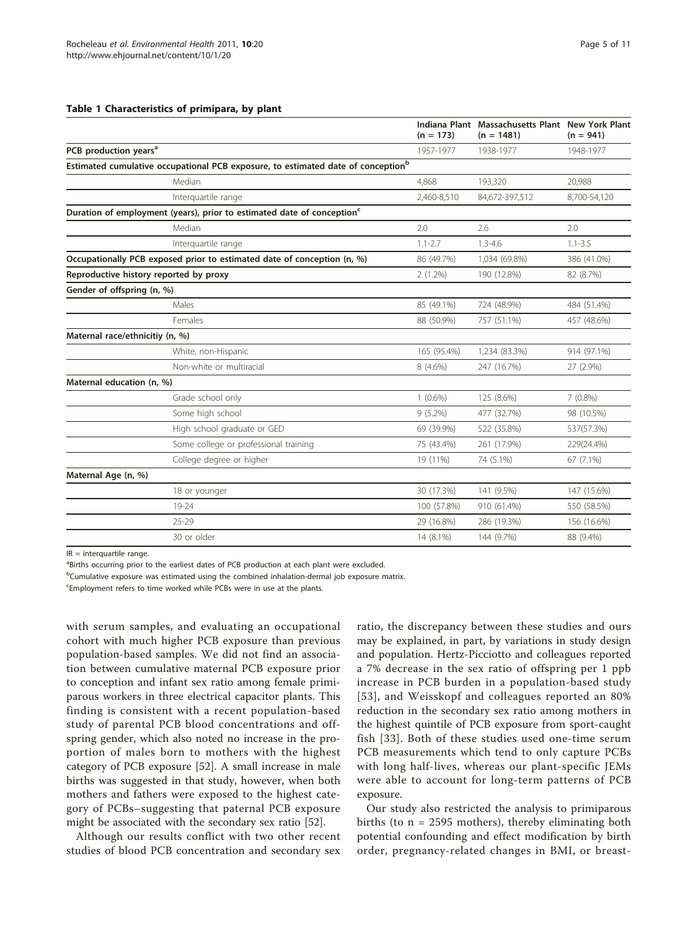#### <span id="page-4-0"></span>Table 1 Characteristics of primipara, by plant

|                                                                                              | $(n = 173)$ | Indiana Plant Massachusetts Plant New York Plant<br>$(n = 1481)$ | $(n = 941)$  |
|----------------------------------------------------------------------------------------------|-------------|------------------------------------------------------------------|--------------|
| PCB production years <sup>a</sup>                                                            | 1957-1977   | 1938-1977                                                        | 1948-1977    |
| Estimated cumulative occupational PCB exposure, to estimated date of conception <sup>b</sup> |             |                                                                  |              |
| Median                                                                                       | 4.868       | 193,320                                                          | 20,988       |
| Interguartile range                                                                          | 2,460-8,510 | 84,672-397,512                                                   | 8,700-54,120 |
| Duration of employment (years), prior to estimated date of conception <sup>c</sup>           |             |                                                                  |              |
| Median                                                                                       | 2.0         | 2.6                                                              | 2.0          |
| Interquartile range                                                                          | $1.1 - 2.7$ | $1.3 - 4.6$                                                      | $1.1 - 3.5$  |
| Occupationally PCB exposed prior to estimated date of conception (n, %)                      | 86 (49.7%)  | 1,034 (69.8%)                                                    | 386 (41.0%)  |
| Reproductive history reported by proxy                                                       | $2(1.2\%)$  | 190 (12.8%)                                                      | 82 (8.7%)    |
| Gender of offspring (n, %)                                                                   |             |                                                                  |              |
| Males                                                                                        | 85 (49.1%)  | 724 (48.9%)                                                      | 484 (51.4%)  |
| Females                                                                                      | 88 (50.9%)  | 757 (51.1%)                                                      | 457 (48.6%)  |
| Maternal race/ethnicitiy (n, %)                                                              |             |                                                                  |              |
| White, non-Hispanic                                                                          | 165 (95.4%) | 1,234 (83.3%)                                                    | 914 (97.1%)  |
| Non-white or multiracial                                                                     | 8 (4.6%)    | 247 (16.7%)                                                      | 27 (2.9%)    |
| Maternal education (n, %)                                                                    |             |                                                                  |              |
| Grade school only                                                                            | $1(0.6\%)$  | 125 (8.6%)                                                       | $7(0.8\%)$   |
| Some high school                                                                             | $9(5.2\%)$  | 477 (32.7%)                                                      | 98 (10.5%)   |
| High school graduate or GED                                                                  | 69 (39.9%)  | 522 (35.8%)                                                      | 537(57.3%)   |
| Some college or professional training                                                        | 75 (43.4%)  | 261 (17.9%)                                                      | 229(24.4%)   |
| College degree or higher                                                                     | 19 (11%)    | 74 (5.1%)                                                        | 67 (7.1%)    |
| Maternal Age (n, %)                                                                          |             |                                                                  |              |
| 18 or younger                                                                                | 30 (17.3%)  | 141 (9.5%)                                                       | 147 (15.6%)  |
| $19 - 24$                                                                                    | 100 (57.8%) | 910 (61.4%)                                                      | 550 (58.5%)  |
| 25-29                                                                                        | 29 (16.8%)  | 286 (19.3%)                                                      | 156 (16.6%)  |
| 30 or older                                                                                  | 14 (8.1%)   | 144 (9.7%)                                                       | 88 (9.4%)    |

IR = interquartile range.

<sup>a</sup>Births occurring prior to the earliest dates of PCB production at each plant were excluded.

<sup>b</sup>Cumulative exposure was estimated using the combined inhalation-dermal job exposure matrix.

Employment refers to time worked while PCBs were in use at the plants.

with serum samples, and evaluating an occupational cohort with much higher PCB exposure than previous population-based samples. We did not find an association between cumulative maternal PCB exposure prior to conception and infant sex ratio among female primiparous workers in three electrical capacitor plants. This finding is consistent with a recent population-based study of parental PCB blood concentrations and offspring gender, which also noted no increase in the proportion of males born to mothers with the highest category of PCB exposure [[52\]](#page-9-0). A small increase in male births was suggested in that study, however, when both mothers and fathers were exposed to the highest category of PCBs–suggesting that paternal PCB exposure might be associated with the secondary sex ratio [[52\]](#page-9-0).

Although our results conflict with two other recent studies of blood PCB concentration and secondary sex ratio, the discrepancy between these studies and ours may be explained, in part, by variations in study design and population. Hertz-Picciotto and colleagues reported a 7% decrease in the sex ratio of offspring per 1 ppb increase in PCB burden in a population-based study [[53\]](#page-9-0), and Weisskopf and colleagues reported an 80% reduction in the secondary sex ratio among mothers in the highest quintile of PCB exposure from sport-caught fish [[33](#page-9-0)]. Both of these studies used one-time serum PCB measurements which tend to only capture PCBs with long half-lives, whereas our plant-specific JEMs were able to account for long-term patterns of PCB exposure.

Our study also restricted the analysis to primiparous births (to  $n = 2595$  mothers), thereby eliminating both potential confounding and effect modification by birth order, pregnancy-related changes in BMI, or breast-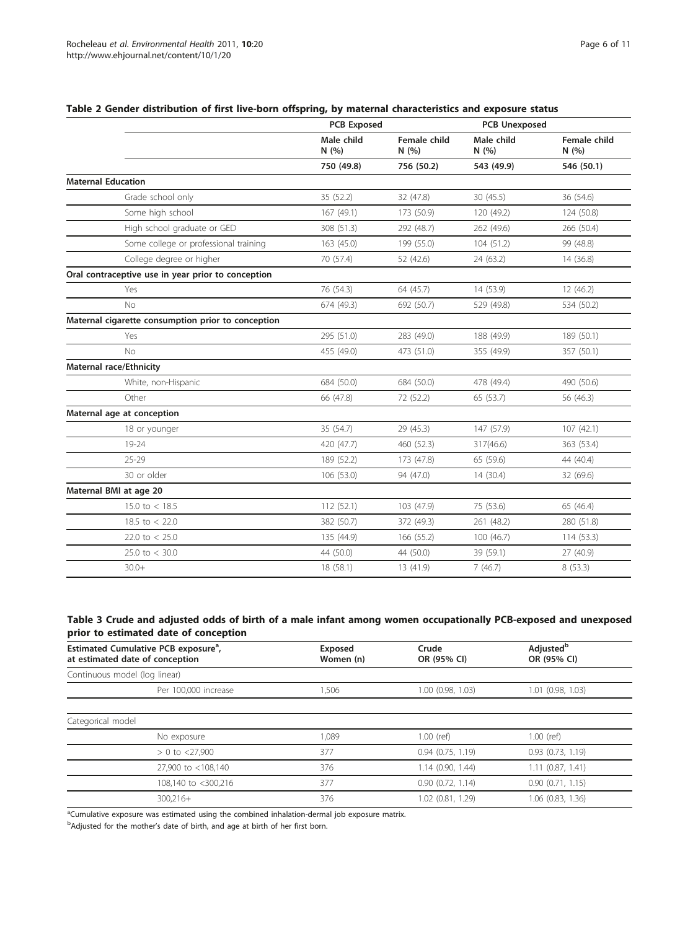|                                                    | <b>PCB Exposed</b> |                             | <b>PCB Unexposed</b> |                             |
|----------------------------------------------------|--------------------|-----------------------------|----------------------|-----------------------------|
|                                                    | Male child<br>N(%) | <b>Female child</b><br>N(%) | Male child<br>N(%)   | <b>Female child</b><br>N(%) |
|                                                    | 750 (49.8)         | 756 (50.2)                  | 543 (49.9)           | 546 (50.1)                  |
| <b>Maternal Education</b>                          |                    |                             |                      |                             |
| Grade school only                                  | 35 (52.2)          | 32 (47.8)                   | 30(45.5)             | 36 (54.6)                   |
| Some high school                                   | 167(49.1)          | 173 (50.9)                  | 120 (49.2)           | 124 (50.8)                  |
| High school graduate or GED                        | 308 (51.3)         | 292 (48.7)                  | 262 (49.6)           | 266 (50.4)                  |
| Some college or professional training              | 163(45.0)          | 199 (55.0)                  | 104(51.2)            | 99 (48.8)                   |
| College degree or higher                           | 70 (57.4)          | 52 (42.6)                   | 24 (63.2)            | 14 (36.8)                   |
| Oral contraceptive use in year prior to conception |                    |                             |                      |                             |
| Yes                                                | 76 (54.3)          | 64 (45.7)                   | 14 (53.9)            | 12(46.2)                    |
| <b>No</b>                                          | 674 (49.3)         | 692 (50.7)                  | 529 (49.8)           | 534 (50.2)                  |
| Maternal cigarette consumption prior to conception |                    |                             |                      |                             |
| Yes                                                | 295 (51.0)         | 283 (49.0)                  | 188 (49.9)           | 189 (50.1)                  |
| <b>No</b>                                          | 455 (49.0)         | 473 (51.0)                  | 355 (49.9)           | 357 (50.1)                  |
| Maternal race/Ethnicity                            |                    |                             |                      |                             |
| White, non-Hispanic                                | 684 (50.0)         | 684 (50.0)                  | 478 (49.4)           | 490 (50.6)                  |
| Other                                              | 66 (47.8)          | 72 (52.2)                   | 65 (53.7)            | 56 (46.3)                   |
| Maternal age at conception                         |                    |                             |                      |                             |
| 18 or younger                                      | 35 (54.7)          | 29 (45.3)                   | 147 (57.9)           | 107(42.1)                   |
| $19 - 24$                                          | 420 (47.7)         | 460 (52.3)                  | 317(46.6)            | 363 (53.4)                  |
| $25 - 29$                                          | 189 (52.2)         | 173 (47.8)                  | 65 (59.6)            | 44 (40.4)                   |
| 30 or older                                        | 106 (53.0)         | 94 (47.0)                   | 14 (30.4)            | 32 (69.6)                   |
| Maternal BMI at age 20                             |                    |                             |                      |                             |
| 15.0 to $<$ 18.5                                   | 112(52.1)          | 103 (47.9)                  | 75 (53.6)            | 65 (46.4)                   |
| 18.5 to $< 22.0$                                   | 382 (50.7)         | 372 (49.3)                  | 261 (48.2)           | 280 (51.8)                  |
| 22.0 to $< 25.0$                                   | 135 (44.9)         | 166 (55.2)                  | 100 (46.7)           | 114(53.3)                   |
| 25.0 to $<$ 30.0                                   | 44 (50.0)          | 44 (50.0)                   | 39 (59.1)            | 27(40.9)                    |
| $30.0+$                                            | 18 (58.1)          | 13 (41.9)                   | 7(46.7)              | 8(53.3)                     |
|                                                    |                    |                             |                      |                             |

#### <span id="page-5-0"></span>Table 2 Gender distribution of first live-born offspring, by maternal characteristics and exposure status

# Table 3 Crude and adjusted odds of birth of a male infant among women occupationally PCB-exposed and unexposed prior to estimated date of conception

| Estimated Cumulative PCB exposure <sup>a</sup> ,<br>at estimated date of conception | Exposed<br>Women (n) | Crude<br>OR (95% CI)  | Adjusted <sup>b</sup><br>OR (95% CI) |
|-------------------------------------------------------------------------------------|----------------------|-----------------------|--------------------------------------|
| Continuous model (log linear)                                                       |                      |                       |                                      |
| Per 100,000 increase                                                                | 1,506                | 1.00 (0.98, 1.03)     | 1.01 (0.98, 1.03)                    |
| Categorical model                                                                   |                      |                       |                                      |
| No exposure                                                                         | 1.089                | 1.00 (ref)            | $1.00$ (ref)                         |
| $> 0$ to $<$ 27,900                                                                 | 377                  | $0.94$ $(0.75, 1.19)$ | 0.93(0.73, 1.19)                     |
| 27,900 to <108,140                                                                  | 376                  | 1.14 (0.90, 1.44)     | 1.11(0.87, 1.41)                     |
| 108,140 to <300,216                                                                 | 377                  | $0.90$ $(0.72, 1.14)$ | 0.90(0.71, 1.15)                     |
| $300,216+$                                                                          | 376                  | 1.02 (0.81, 1.29)     | $1.06$ $(0.83, 1.36)$                |

<sup>a</sup>Cumulative exposure was estimated using the combined inhalation-dermal job exposure matrix.

<sup>b</sup>Adjusted for the mother's date of birth, and age at birth of her first born.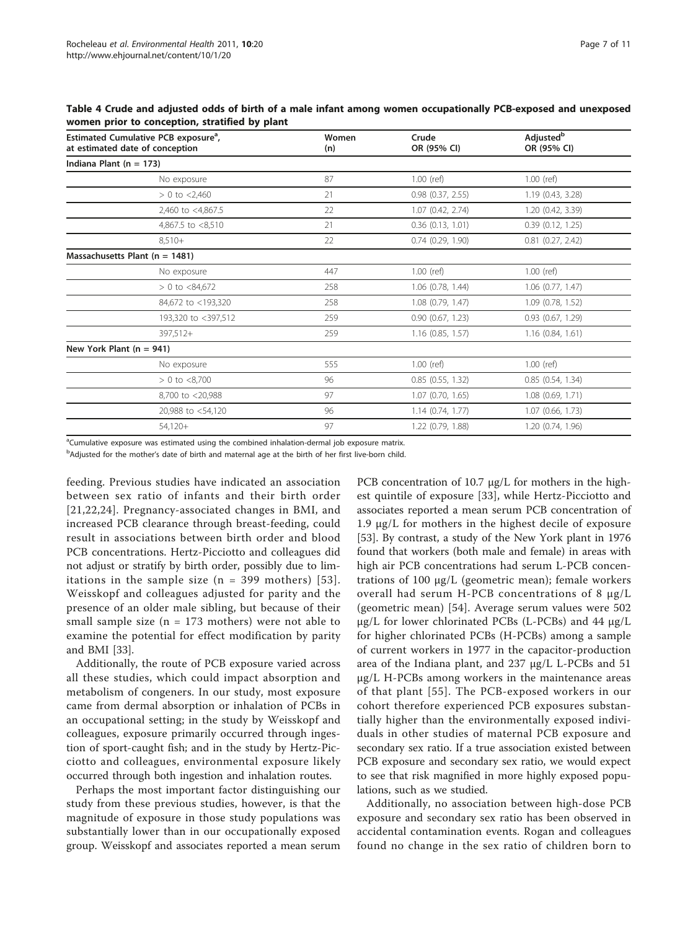| Estimated Cumulative PCB exposure <sup>a</sup> ,<br>at estimated date of conception | Women<br>(n) | Crude<br>OR (95% CI)  | Adjusted <sup>b</sup><br>OR (95% CI) |
|-------------------------------------------------------------------------------------|--------------|-----------------------|--------------------------------------|
| Indiana Plant ( $n = 173$ )                                                         |              |                       |                                      |
| No exposure                                                                         | 87           | $1.00$ (ref)          | $1.00$ (ref)                         |
| $> 0$ to $< 2,460$                                                                  | 21           | $0.98$ $(0.37, 2.55)$ | 1.19 (0.43, 3.28)                    |
| 2,460 to <4,867.5                                                                   | 22           | 1.07(0.42, 2.74)      | 1.20 (0.42, 3.39)                    |
| 4,867.5 to <8,510                                                                   | 21           | $0.36$ $(0.13, 1.01)$ | 0.39(0.12, 1.25)                     |
| $8,510+$                                                                            | 22           | $0.74$ $(0.29, 1.90)$ | $0.81$ $(0.27, 2.42)$                |
| Massachusetts Plant ( $n = 1481$ )                                                  |              |                       |                                      |
| No exposure                                                                         | 447          | $1.00$ (ref)          | $1.00$ (ref)                         |
| $> 0$ to $< 84,672$                                                                 | 258          | $1.06$ $(0.78, 1.44)$ | $1.06$ $(0.77, 1.47)$                |
| 84,672 to <193,320                                                                  | 258          | $1.08$ (0.79, 1.47)   | $1.09$ (0.78, 1.52)                  |
| 193,320 to <397,512                                                                 | 259          | $0.90$ $(0.67, 1.23)$ | $0.93$ $(0.67, 1.29)$                |
| 397,512+                                                                            | 259          | $1.16$ (0.85, 1.57)   | $1.16$ (0.84, 1.61)                  |
| New York Plant $(n = 941)$                                                          |              |                       |                                      |
| No exposure                                                                         | 555          | $1.00$ (ref)          | $1.00$ (ref)                         |
| $> 0$ to $< 8,700$                                                                  | 96           | $0.85$ $(0.55, 1.32)$ | $0.85$ $(0.54, 1.34)$                |
| 8,700 to <20,988                                                                    | 97           | $1.07$ (0.70, 1.65)   | $1.08$ $(0.69, 1.71)$                |
| 20,988 to <54,120                                                                   | 96           | 1.14(0.74, 1.77)      | $1.07$ (0.66, 1.73)                  |
| 54,120+                                                                             | 97           | 1.22 (0.79, 1.88)     | 1.20 (0.74, 1.96)                    |

<span id="page-6-0"></span>Table 4 Crude and adjusted odds of birth of a male infant among women occupationally PCB-exposed and unexposed women prior to conception, stratified by plant

<sup>a</sup>Cumulative exposure was estimated using the combined inhalation-dermal job exposure matrix.

<sup>b</sup>Adjusted for the mother's date of birth and maternal age at the birth of her first live-born child.

feeding. Previous studies have indicated an association between sex ratio of infants and their birth order [[21](#page-9-0),[22,24\]](#page-9-0). Pregnancy-associated changes in BMI, and increased PCB clearance through breast-feeding, could result in associations between birth order and blood PCB concentrations. Hertz-Picciotto and colleagues did not adjust or stratify by birth order, possibly due to limitations in the sample size ( $n = 399$  mothers) [[53\]](#page-9-0). Weisskopf and colleagues adjusted for parity and the presence of an older male sibling, but because of their small sample size ( $n = 173$  mothers) were not able to examine the potential for effect modification by parity and BMI [\[33](#page-9-0)].

Additionally, the route of PCB exposure varied across all these studies, which could impact absorption and metabolism of congeners. In our study, most exposure came from dermal absorption or inhalation of PCBs in an occupational setting; in the study by Weisskopf and colleagues, exposure primarily occurred through ingestion of sport-caught fish; and in the study by Hertz-Picciotto and colleagues, environmental exposure likely occurred through both ingestion and inhalation routes.

Perhaps the most important factor distinguishing our study from these previous studies, however, is that the magnitude of exposure in those study populations was substantially lower than in our occupationally exposed group. Weisskopf and associates reported a mean serum

PCB concentration of 10.7 μg/L for mothers in the highest quintile of exposure [[33](#page-9-0)], while Hertz-Picciotto and associates reported a mean serum PCB concentration of 1.9 μg/L for mothers in the highest decile of exposure [[53\]](#page-9-0). By contrast, a study of the New York plant in 1976 found that workers (both male and female) in areas with high air PCB concentrations had serum L-PCB concentrations of 100 μg/L (geometric mean); female workers overall had serum H-PCB concentrations of 8 μg/L (geometric mean) [[54\]](#page-9-0). Average serum values were 502 μg/L for lower chlorinated PCBs (L-PCBs) and 44 μg/L for higher chlorinated PCBs (H-PCBs) among a sample of current workers in 1977 in the capacitor-production area of the Indiana plant, and 237 μg/L L-PCBs and 51 μg/L H-PCBs among workers in the maintenance areas of that plant [\[55](#page-9-0)]. The PCB-exposed workers in our cohort therefore experienced PCB exposures substantially higher than the environmentally exposed individuals in other studies of maternal PCB exposure and secondary sex ratio. If a true association existed between PCB exposure and secondary sex ratio, we would expect to see that risk magnified in more highly exposed populations, such as we studied.

Additionally, no association between high-dose PCB exposure and secondary sex ratio has been observed in accidental contamination events. Rogan and colleagues found no change in the sex ratio of children born to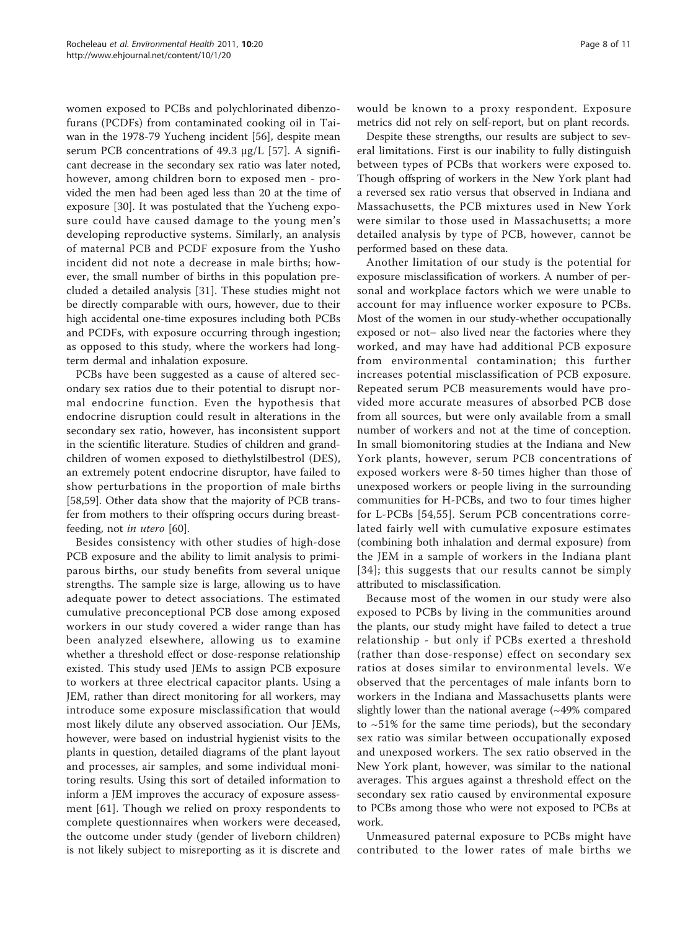women exposed to PCBs and polychlorinated dibenzofurans (PCDFs) from contaminated cooking oil in Taiwan in the 1978-79 Yucheng incident [\[56\]](#page-9-0), despite mean serum PCB concentrations of 49.3 μg/L [[57](#page-10-0)]. A significant decrease in the secondary sex ratio was later noted, however, among children born to exposed men - provided the men had been aged less than 20 at the time of exposure [[30\]](#page-9-0). It was postulated that the Yucheng exposure could have caused damage to the young men's developing reproductive systems. Similarly, an analysis of maternal PCB and PCDF exposure from the Yusho incident did not note a decrease in male births; however, the small number of births in this population precluded a detailed analysis [[31\]](#page-9-0). These studies might not be directly comparable with ours, however, due to their high accidental one-time exposures including both PCBs and PCDFs, with exposure occurring through ingestion; as opposed to this study, where the workers had longterm dermal and inhalation exposure.

PCBs have been suggested as a cause of altered secondary sex ratios due to their potential to disrupt normal endocrine function. Even the hypothesis that endocrine disruption could result in alterations in the secondary sex ratio, however, has inconsistent support in the scientific literature. Studies of children and grandchildren of women exposed to diethylstilbestrol (DES), an extremely potent endocrine disruptor, have failed to show perturbations in the proportion of male births [[58,59\]](#page-10-0). Other data show that the majority of PCB transfer from mothers to their offspring occurs during breastfeeding, not in utero [[60\]](#page-10-0).

Besides consistency with other studies of high-dose PCB exposure and the ability to limit analysis to primiparous births, our study benefits from several unique strengths. The sample size is large, allowing us to have adequate power to detect associations. The estimated cumulative preconceptional PCB dose among exposed workers in our study covered a wider range than has been analyzed elsewhere, allowing us to examine whether a threshold effect or dose-response relationship existed. This study used JEMs to assign PCB exposure to workers at three electrical capacitor plants. Using a JEM, rather than direct monitoring for all workers, may introduce some exposure misclassification that would most likely dilute any observed association. Our JEMs, however, were based on industrial hygienist visits to the plants in question, detailed diagrams of the plant layout and processes, air samples, and some individual monitoring results. Using this sort of detailed information to inform a JEM improves the accuracy of exposure assessment [[61\]](#page-10-0). Though we relied on proxy respondents to complete questionnaires when workers were deceased, the outcome under study (gender of liveborn children) is not likely subject to misreporting as it is discrete and

would be known to a proxy respondent. Exposure metrics did not rely on self-report, but on plant records.

Despite these strengths, our results are subject to several limitations. First is our inability to fully distinguish between types of PCBs that workers were exposed to. Though offspring of workers in the New York plant had a reversed sex ratio versus that observed in Indiana and Massachusetts, the PCB mixtures used in New York were similar to those used in Massachusetts; a more detailed analysis by type of PCB, however, cannot be performed based on these data.

Another limitation of our study is the potential for exposure misclassification of workers. A number of personal and workplace factors which we were unable to account for may influence worker exposure to PCBs. Most of the women in our study-whether occupationally exposed or not– also lived near the factories where they worked, and may have had additional PCB exposure from environmental contamination; this further increases potential misclassification of PCB exposure. Repeated serum PCB measurements would have provided more accurate measures of absorbed PCB dose from all sources, but were only available from a small number of workers and not at the time of conception. In small biomonitoring studies at the Indiana and New York plants, however, serum PCB concentrations of exposed workers were 8-50 times higher than those of unexposed workers or people living in the surrounding communities for H-PCBs, and two to four times higher for L-PCBs [[54,55\]](#page-9-0). Serum PCB concentrations correlated fairly well with cumulative exposure estimates (combining both inhalation and dermal exposure) from the JEM in a sample of workers in the Indiana plant [[34\]](#page-9-0); this suggests that our results cannot be simply attributed to misclassification.

Because most of the women in our study were also exposed to PCBs by living in the communities around the plants, our study might have failed to detect a true relationship - but only if PCBs exerted a threshold (rather than dose-response) effect on secondary sex ratios at doses similar to environmental levels. We observed that the percentages of male infants born to workers in the Indiana and Massachusetts plants were slightly lower than the national average (~49% compared to  $~51\%$  for the same time periods), but the secondary sex ratio was similar between occupationally exposed and unexposed workers. The sex ratio observed in the New York plant, however, was similar to the national averages. This argues against a threshold effect on the secondary sex ratio caused by environmental exposure to PCBs among those who were not exposed to PCBs at work.

Unmeasured paternal exposure to PCBs might have contributed to the lower rates of male births we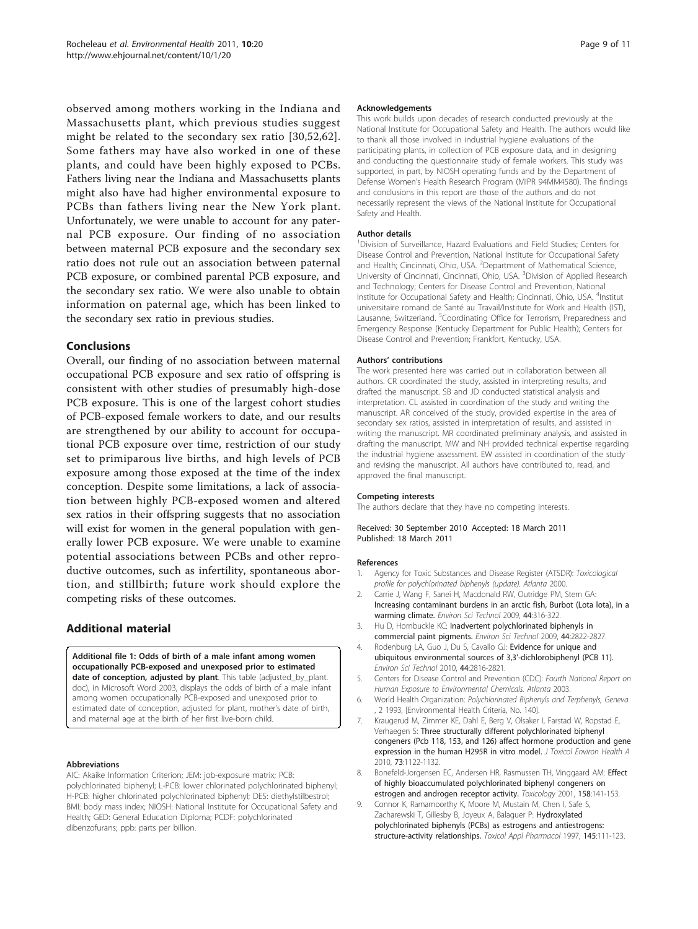<span id="page-8-0"></span>observed among mothers working in the Indiana and Massachusetts plant, which previous studies suggest might be related to the secondary sex ratio [[30,52,](#page-9-0)[62](#page-10-0)]. Some fathers may have also worked in one of these plants, and could have been highly exposed to PCBs. Fathers living near the Indiana and Massachusetts plants might also have had higher environmental exposure to PCBs than fathers living near the New York plant. Unfortunately, we were unable to account for any paternal PCB exposure. Our finding of no association between maternal PCB exposure and the secondary sex ratio does not rule out an association between paternal PCB exposure, or combined parental PCB exposure, and the secondary sex ratio. We were also unable to obtain information on paternal age, which has been linked to the secondary sex ratio in previous studies.

# Conclusions

Overall, our finding of no association between maternal occupational PCB exposure and sex ratio of offspring is consistent with other studies of presumably high-dose PCB exposure. This is one of the largest cohort studies of PCB-exposed female workers to date, and our results are strengthened by our ability to account for occupational PCB exposure over time, restriction of our study set to primiparous live births, and high levels of PCB exposure among those exposed at the time of the index conception. Despite some limitations, a lack of association between highly PCB-exposed women and altered sex ratios in their offspring suggests that no association will exist for women in the general population with generally lower PCB exposure. We were unable to examine potential associations between PCBs and other reproductive outcomes, such as infertility, spontaneous abortion, and stillbirth; future work should explore the competing risks of these outcomes.

# Additional material

[Additional file 1: O](http://www.biomedcentral.com/content/supplementary/1476-069X-10-20-S1.DOC)dds of birth of a male infant among women occupationally PCB-exposed and unexposed prior to estimated date of conception, adjusted by plant. This table (adjusted\_by\_plant. doc), in Microsoft Word 2003, displays the odds of birth of a male infant among women occupationally PCB-exposed and unexposed prior to estimated date of conception, adjusted for plant, mother's date of birth, and maternal age at the birth of her first live-born child.

#### Abbreviations

AIC: Akaike Information Criterion; JEM: job-exposure matrix; PCB: polychlorinated biphenyl; L-PCB: lower chlorinated polychlorinated biphenyl; H-PCB: higher chlorinated polychlorinated biphenyl; DES: diethylstilbestrol; BMI: body mass index; NIOSH: National Institute for Occupational Safety and Health; GED: General Education Diploma; PCDF: polychlorinated dibenzofurans; ppb: parts per billion.

#### Acknowledgements

This work builds upon decades of research conducted previously at the National Institute for Occupational Safety and Health. The authors would like to thank all those involved in industrial hygiene evaluations of the participating plants, in collection of PCB exposure data, and in designing and conducting the questionnaire study of female workers. This study was supported, in part, by NIOSH operating funds and by the Department of Defense Women's Health Research Program (MIPR 94MM4580). The findings and conclusions in this report are those of the authors and do not necessarily represent the views of the National Institute for Occupational Safety and Health.

#### Author details

<sup>1</sup> Division of Surveillance, Hazard Evaluations and Field Studies; Centers for Disease Control and Prevention, National Institute for Occupational Safety and Health; Cincinnati, Ohio, USA. <sup>2</sup>Department of Mathematical Science, University of Cincinnati, Cincinnati, Ohio, USA. <sup>3</sup> Division of Applied Research and Technology; Centers for Disease Control and Prevention, National Institute for Occupational Safety and Health; Cincinnati, Ohio, USA. <sup>4</sup>Institut universitaire romand de Santé au Travail/Institute for Work and Health (IST), Lausanne, Switzerland. <sup>5</sup>Coordinating Office for Terrorism, Preparedness and Emergency Response (Kentucky Department for Public Health); Centers for Disease Control and Prevention; Frankfort, Kentucky, USA.

#### Authors' contributions

The work presented here was carried out in collaboration between all authors. CR coordinated the study, assisted in interpreting results, and drafted the manuscript. SB and JD conducted statistical analysis and interpretation. CL assisted in coordination of the study and writing the manuscript. AR conceived of the study, provided expertise in the area of secondary sex ratios, assisted in interpretation of results, and assisted in writing the manuscript. MR coordinated preliminary analysis, and assisted in drafting the manuscript. MW and NH provided technical expertise regarding the industrial hygiene assessment. EW assisted in coordination of the study and revising the manuscript. All authors have contributed to, read, and approved the final manuscript.

#### Competing interests

The authors declare that they have no competing interests.

Received: 30 September 2010 Accepted: 18 March 2011 Published: 18 March 2011

#### References

- 1. Agency for Toxic Substances and Disease Register (ATSDR): Toxicological profile for polychlorinated biphenyls (update). Atlanta 2000.
- 2. Carrie J, Wang F, Sanei H, Macdonald RW, Outridge PM, Stern GA: Increasing contaminant burdens in an arctic fish, Burbot (Lota lota), in a warming climate. Environ Sci Technol 2009, 44:316-322.
- 3. Hu D, Hornbuckle KC: Inadvertent polychlorinated biphenyls in commercial paint pigments. Environ Sci Technol 2009, 44:2822-2827.
- 4. Rodenburg LA, Guo J, Du S, Cavallo GJ: [Evidence for unique and](http://www.ncbi.nlm.nih.gov/pubmed/20384375?dopt=Abstract) [ubiquitous environmental sources of 3,3](http://www.ncbi.nlm.nih.gov/pubmed/20384375?dopt=Abstract)'-dichlorobiphenyl (PCB 11). Environ Sci Technol 2010, 44:2816-2821.
- 5. Centers for Disease Control and Prevention (CDC): Fourth National Report on Human Exposure to Environmental Chemicals. Atlanta 2003.
- 6. World Health Organization: Polychlorinated Biphenyls and Terphenyls, Geneva , 2 1993, [Environmental Health Criteria, No. 140].
- 7. Kraugerud M, Zimmer KE, Dahl E, Berg V, Olsaker I, Farstad W, Ropstad E, Verhaegen S: [Three structurally different polychlorinated biphenyl](http://www.ncbi.nlm.nih.gov/pubmed/20574914?dopt=Abstract) [congeners \(Pcb 118, 153, and 126\) affect hormone production and gene](http://www.ncbi.nlm.nih.gov/pubmed/20574914?dopt=Abstract) [expression in the human H295R in vitro model.](http://www.ncbi.nlm.nih.gov/pubmed/20574914?dopt=Abstract) J Toxicol Environ Health A 2010, 73:1122-1132.
- 8. Bonefeld-Jorgensen EC, Andersen HR, Rasmussen TH, Vinggaard AM: [Effect](http://www.ncbi.nlm.nih.gov/pubmed/11275356?dopt=Abstract) [of highly bioaccumulated polychlorinated biphenyl congeners on](http://www.ncbi.nlm.nih.gov/pubmed/11275356?dopt=Abstract) [estrogen and androgen receptor activity.](http://www.ncbi.nlm.nih.gov/pubmed/11275356?dopt=Abstract) Toxicology 2001, 158:141-153.
- 9. Connor K, Ramamoorthy K, Moore M, Mustain M, Chen I, Safe S, Zacharewski T, Gillesby B, Joyeux A, Balaguer P: [Hydroxylated](http://www.ncbi.nlm.nih.gov/pubmed/9221830?dopt=Abstract) [polychlorinated biphenyls \(PCBs\) as estrogens and antiestrogens:](http://www.ncbi.nlm.nih.gov/pubmed/9221830?dopt=Abstract) [structure-activity relationships.](http://www.ncbi.nlm.nih.gov/pubmed/9221830?dopt=Abstract) Toxicol Appl Pharmacol 1997, 145:111-123.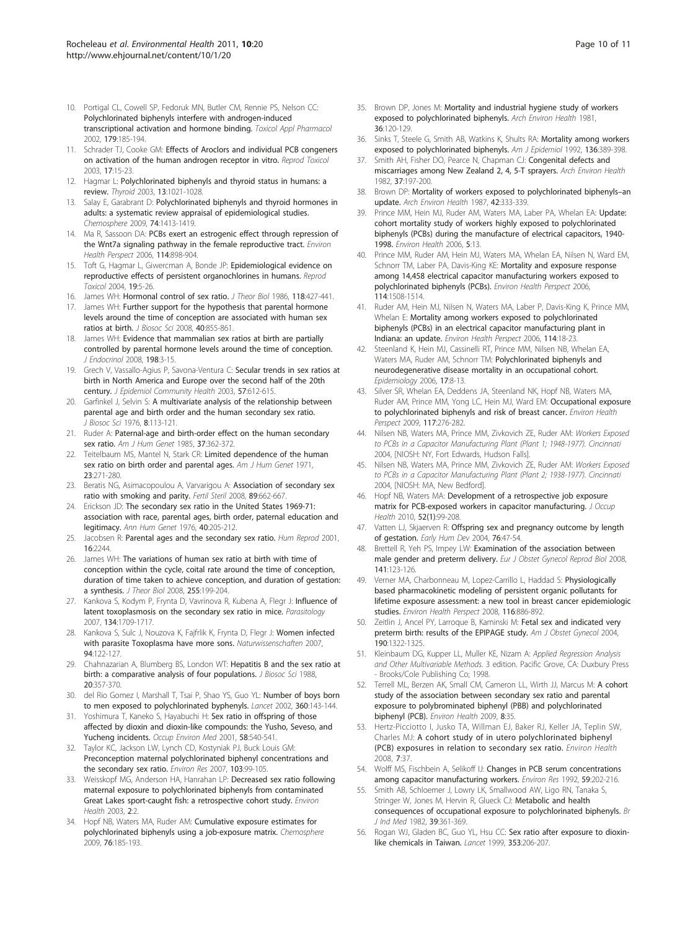- <span id="page-9-0"></span>10. Portigal CL, Cowell SP, Fedoruk MN, Butler CM, Rennie PS, Nelson CC: [Polychlorinated biphenyls interfere with androgen-induced](http://www.ncbi.nlm.nih.gov/pubmed/11906248?dopt=Abstract) [transcriptional activation and hormone binding.](http://www.ncbi.nlm.nih.gov/pubmed/11906248?dopt=Abstract) Toxicol Appl Pharmacol 2002, 179:185-194.
- 11. Schrader TJ, Cooke GM: [Effects of Aroclors and individual PCB congeners](http://www.ncbi.nlm.nih.gov/pubmed/12507654?dopt=Abstract) [on activation of the human androgen receptor in vitro.](http://www.ncbi.nlm.nih.gov/pubmed/12507654?dopt=Abstract) Reprod Toxicol 2003, 17:15-23.
- 12. Hagmar L: [Polychlorinated biphenyls and thyroid status in humans: a](http://www.ncbi.nlm.nih.gov/pubmed/14651786?dopt=Abstract) [review.](http://www.ncbi.nlm.nih.gov/pubmed/14651786?dopt=Abstract) Thyroid 2003, 13:1021-1028.
- 13. Salay E, Garabrant D: [Polychlorinated biphenyls and thyroid hormones in](http://www.ncbi.nlm.nih.gov/pubmed/19108870?dopt=Abstract) [adults: a systematic review appraisal of epidemiological studies.](http://www.ncbi.nlm.nih.gov/pubmed/19108870?dopt=Abstract) Chemosphere 2009, 74:1413-1419.
- 14. Ma R, Sassoon DA: [PCBs exert an estrogenic effect through repression of](http://www.ncbi.nlm.nih.gov/pubmed/16759992?dopt=Abstract) [the Wnt7a signaling pathway in the female reproductive tract.](http://www.ncbi.nlm.nih.gov/pubmed/16759992?dopt=Abstract) Environ Health Perspect 2006, 114:898-904.
- 15. Toft G, Hagmar L, Giwercman A, Bonde JP: [Epidemiological evidence on](http://www.ncbi.nlm.nih.gov/pubmed/15336708?dopt=Abstract) [reproductive effects of persistent organochlorines in humans.](http://www.ncbi.nlm.nih.gov/pubmed/15336708?dopt=Abstract) Reprod Toxicol 2004, 19:5-26.
- 16. James WH: [Hormonal control of sex ratio.](http://www.ncbi.nlm.nih.gov/pubmed/3713218?dopt=Abstract) J Theor Biol 1986, 118:427-441.
- 17. James WH: [Further support for the hypothesis that parental hormone](http://www.ncbi.nlm.nih.gov/pubmed/18471338?dopt=Abstract) [levels around the time of conception are associated with human sex](http://www.ncbi.nlm.nih.gov/pubmed/18471338?dopt=Abstract) [ratios at birth.](http://www.ncbi.nlm.nih.gov/pubmed/18471338?dopt=Abstract) J Biosoc Sci 2008, 40:855-861.
- 18. James WH: [Evidence that mammalian sex ratios at birth are partially](http://www.ncbi.nlm.nih.gov/pubmed/18577567?dopt=Abstract) [controlled by parental hormone levels around the time of conception.](http://www.ncbi.nlm.nih.gov/pubmed/18577567?dopt=Abstract) J Endocrinol 2008, 198:3-15.
- 19. Grech V, Vassallo-Agius P, Savona-Ventura C: [Secular trends in sex ratios at](http://www.ncbi.nlm.nih.gov/pubmed/12883068?dopt=Abstract) [birth in North America and Europe over the second half of the 20th](http://www.ncbi.nlm.nih.gov/pubmed/12883068?dopt=Abstract) [century.](http://www.ncbi.nlm.nih.gov/pubmed/12883068?dopt=Abstract) J Epidemiol Community Health 2003, 57:612-615.
- 20. Garfinkel J, Selvin S: [A multivariate analysis of the relationship between](http://www.ncbi.nlm.nih.gov/pubmed/956205?dopt=Abstract) [parental age and birth order and the human secondary sex ratio.](http://www.ncbi.nlm.nih.gov/pubmed/956205?dopt=Abstract) J Biosoc Sci 1976, 8:113-121.
- 21. Ruder A: [Paternal-age and birth-order effect on the human secondary](http://www.ncbi.nlm.nih.gov/pubmed/3985011?dopt=Abstract) [sex ratio.](http://www.ncbi.nlm.nih.gov/pubmed/3985011?dopt=Abstract) Am J Hum Genet 1985, 37:362-372.
- 22. Teitelbaum MS, Mantel N, Stark CR: [Limited dependence of the human](http://www.ncbi.nlm.nih.gov/pubmed/5089843?dopt=Abstract) [sex ratio on birth order and parental ages.](http://www.ncbi.nlm.nih.gov/pubmed/5089843?dopt=Abstract) Am J Hum Genet 1971, 23:271-280.
- 23. Beratis NG, Asimacopoulou A, Varvarigou A: [Association of secondary sex](http://www.ncbi.nlm.nih.gov/pubmed/17517408?dopt=Abstract) [ratio with smoking and parity.](http://www.ncbi.nlm.nih.gov/pubmed/17517408?dopt=Abstract) Fertil Steril 2008, 89:662-667.
- 24. Erickson JD: [The secondary sex ratio in the United States 1969-71:](http://www.ncbi.nlm.nih.gov/pubmed/1015815?dopt=Abstract) [association with race, parental ages, birth order, paternal education and](http://www.ncbi.nlm.nih.gov/pubmed/1015815?dopt=Abstract) [legitimacy.](http://www.ncbi.nlm.nih.gov/pubmed/1015815?dopt=Abstract) Ann Hum Genet 1976, 40:205-212.
- 25. Jacobsen R: [Parental ages and the secondary sex ratio.](http://www.ncbi.nlm.nih.gov/pubmed/11574526?dopt=Abstract) Hum Reprod 2001, 16:2244.
- 26. James WH: [The variations of human sex ratio at birth with time of](http://www.ncbi.nlm.nih.gov/pubmed/18687340?dopt=Abstract) [conception within the cycle, coital rate around the time of conception,](http://www.ncbi.nlm.nih.gov/pubmed/18687340?dopt=Abstract) [duration of time taken to achieve conception, and duration of gestation:](http://www.ncbi.nlm.nih.gov/pubmed/18687340?dopt=Abstract) [a synthesis.](http://www.ncbi.nlm.nih.gov/pubmed/18687340?dopt=Abstract) J Theor Biol 2008, 255:199-204.
- 27. Kankova S, Kodym P, Frynta D, Vavrinova R, Kubena A, Flegr J: [Influence of](http://www.ncbi.nlm.nih.gov/pubmed/17651529?dopt=Abstract) [latent toxoplasmosis on the secondary sex ratio in mice.](http://www.ncbi.nlm.nih.gov/pubmed/17651529?dopt=Abstract) Parasitology 2007, 134:1709-1717.
- 28. Kankova S, Sulc J, Nouzova K, Fajfrlik K, Frynta D, Flegr J: [Women infected](http://www.ncbi.nlm.nih.gov/pubmed/17028886?dopt=Abstract) [with parasite Toxoplasma have more sons.](http://www.ncbi.nlm.nih.gov/pubmed/17028886?dopt=Abstract) Naturwissenschaften 2007 94:122-127.
- 29. Chahnazarian A, Blumberg BS, London WT: [Hepatitis B and the sex ratio at](http://www.ncbi.nlm.nih.gov/pubmed/3215916?dopt=Abstract) [birth: a comparative analysis of four populations.](http://www.ncbi.nlm.nih.gov/pubmed/3215916?dopt=Abstract) J Biosoc Sci 1988, 20:357-370.
- 30. del Rio Gomez I, Marshall T, Tsai P, Shao YS, Guo YL: [Number of boys born](http://www.ncbi.nlm.nih.gov/pubmed/12126828?dopt=Abstract) [to men exposed to polychlorinated byphenyls.](http://www.ncbi.nlm.nih.gov/pubmed/12126828?dopt=Abstract) Lancet 2002, 360:143-144.
- 31. Yoshimura T, Kaneko S, Hayabuchi H: [Sex ratio in offspring of those](http://www.ncbi.nlm.nih.gov/pubmed/11452050?dopt=Abstract) [affected by dioxin and dioxin-like compounds: the Yusho, Seveso, and](http://www.ncbi.nlm.nih.gov/pubmed/11452050?dopt=Abstract) [Yucheng incidents.](http://www.ncbi.nlm.nih.gov/pubmed/11452050?dopt=Abstract) Occup Environ Med 2001, 58:540-541.
- 32. Taylor KC, Jackson LW, Lynch CD, Kostyniak PJ, Buck Louis GM: [Preconception maternal polychlorinated biphenyl concentrations and](http://www.ncbi.nlm.nih.gov/pubmed/16780830?dopt=Abstract) [the secondary sex ratio.](http://www.ncbi.nlm.nih.gov/pubmed/16780830?dopt=Abstract) Environ Res 2007, 103:99-105.
- 33. Weisskopf MG, Anderson HA, Hanrahan LP: [Decreased sex ratio following](http://www.ncbi.nlm.nih.gov/pubmed/12694628?dopt=Abstract) [maternal exposure to polychlorinated biphenyls from contaminated](http://www.ncbi.nlm.nih.gov/pubmed/12694628?dopt=Abstract) [Great Lakes sport-caught fish: a retrospective cohort study.](http://www.ncbi.nlm.nih.gov/pubmed/12694628?dopt=Abstract) Environ Health 2003, 2:2.
- 34. Hopf NB, Waters MA, Ruder AM: [Cumulative exposure estimates for](http://www.ncbi.nlm.nih.gov/pubmed/19394668?dopt=Abstract) [polychlorinated biphenyls using a job-exposure matrix.](http://www.ncbi.nlm.nih.gov/pubmed/19394668?dopt=Abstract) Chemosphere 2009, 76:185-193.
- 35. Brown DP, Jones M: [Mortality and industrial hygiene study of workers](http://www.ncbi.nlm.nih.gov/pubmed/6787990?dopt=Abstract) [exposed to polychlorinated biphenyls.](http://www.ncbi.nlm.nih.gov/pubmed/6787990?dopt=Abstract) Arch Environ Health 1981, 36:120-129.
- 36. Sinks T, Steele G, Smith AB, Watkins K, Shults RA: [Mortality among workers](http://www.ncbi.nlm.nih.gov/pubmed/1415158?dopt=Abstract) [exposed to polychlorinated biphenyls.](http://www.ncbi.nlm.nih.gov/pubmed/1415158?dopt=Abstract) Am J Epidemiol 1992, 136:389-398.
- 37. Smith AH, Fisher DO, Pearce N, Chapman CJ: [Congenital defects and](http://www.ncbi.nlm.nih.gov/pubmed/7114899?dopt=Abstract) [miscarriages among New Zealand 2, 4, 5-T sprayers.](http://www.ncbi.nlm.nih.gov/pubmed/7114899?dopt=Abstract) Arch Environ Health 1982, 37:197-200.
- 38. Brown DP: [Mortality of workers exposed to polychlorinated biphenyls](http://www.ncbi.nlm.nih.gov/pubmed/3125795?dopt=Abstract)–an [update.](http://www.ncbi.nlm.nih.gov/pubmed/3125795?dopt=Abstract) Arch Environ Health 1987, 42:333-339.
- 39. Prince MM, Hein MJ, Ruder AM, Waters MA, Laber PA, Whelan EA: [Update:](http://www.ncbi.nlm.nih.gov/pubmed/16716225?dopt=Abstract) [cohort mortality study of workers highly exposed to polychlorinated](http://www.ncbi.nlm.nih.gov/pubmed/16716225?dopt=Abstract) [biphenyls \(PCBs\) during the manufacture of electrical capacitors, 1940-](http://www.ncbi.nlm.nih.gov/pubmed/16716225?dopt=Abstract) [1998.](http://www.ncbi.nlm.nih.gov/pubmed/16716225?dopt=Abstract) Environ Health 2006, 5:13.
- 40. Prince MM, Ruder AM, Hein MJ, Waters MA, Whelan EA, Nilsen N, Ward EM, Schnorr TM, Laber PA, Davis-King KE: [Mortality and exposure response](http://www.ncbi.nlm.nih.gov/pubmed/17035134?dopt=Abstract) [among 14,458 electrical capacitor manufacturing workers exposed to](http://www.ncbi.nlm.nih.gov/pubmed/17035134?dopt=Abstract) [polychlorinated biphenyls \(PCBs\).](http://www.ncbi.nlm.nih.gov/pubmed/17035134?dopt=Abstract) Environ Health Perspect 2006, 114:1508-1514.
- 41. Ruder AM, Hein MJ, Nilsen N, Waters MA, Laber P, Davis-King K, Prince MM, Whelan E: [Mortality among workers exposed to polychlorinated](http://www.ncbi.nlm.nih.gov/pubmed/16393652?dopt=Abstract) [biphenyls \(PCBs\) in an electrical capacitor manufacturing plant in](http://www.ncbi.nlm.nih.gov/pubmed/16393652?dopt=Abstract) [Indiana: an update.](http://www.ncbi.nlm.nih.gov/pubmed/16393652?dopt=Abstract) Environ Health Perspect 2006, 114:18-23.
- 42. Steenland K, Hein MJ, Cassinelli RT, Prince MM, Nilsen NB, Whelan EA, Waters MA, Ruder AM, Schnorr TM: [Polychlorinated biphenyls and](http://www.ncbi.nlm.nih.gov/pubmed/16357589?dopt=Abstract) [neurodegenerative disease mortality in an occupational cohort.](http://www.ncbi.nlm.nih.gov/pubmed/16357589?dopt=Abstract) Epidemiology 2006, 17:8-13.
- 43. Silver SR, Whelan EA, Deddens JA, Steenland NK, Hopf NB, Waters MA, Ruder AM, Prince MM, Yong LC, Hein MJ, Ward EM: [Occupational exposure](http://www.ncbi.nlm.nih.gov/pubmed/19270799?dopt=Abstract) [to polychlorinated biphenyls and risk of breast cancer.](http://www.ncbi.nlm.nih.gov/pubmed/19270799?dopt=Abstract) Environ Health Perspect 2009, 117:276-282.
- Nilsen NB, Waters MA, Prince MM, Zivkovich ZE, Ruder AM: Workers Exposed to PCBs in a Capacitor Manufacturing Plant (Plant 1; 1948-1977). Cincinnati 2004, [NIOSH: NY, Fort Edwards, Hudson Falls].
- 45. Nilsen NB, Waters MA, Prince MM, Zivkovich ZE, Ruder AM: Workers Exposed to PCBs in a Capacitor Manufacturing Plant (Plant 2; 1938-1977). Cincinnati 2004, [NIOSH: MA, New Bedford].
- 46. Hopf NB, Waters MA: [Development of a retrospective job exposure](http://www.ncbi.nlm.nih.gov/pubmed/20110621?dopt=Abstract) [matrix for PCB-exposed workers in capacitor manufacturing.](http://www.ncbi.nlm.nih.gov/pubmed/20110621?dopt=Abstract) J Occup Health 2010, 52(1):99-208.
- 47. Vatten LJ, Skjaerven R: [Offspring sex and pregnancy outcome by length](http://www.ncbi.nlm.nih.gov/pubmed/14729162?dopt=Abstract) [of gestation.](http://www.ncbi.nlm.nih.gov/pubmed/14729162?dopt=Abstract) Early Hum Dev 2004, 76:47-54.
- 48. Brettell R, Yeh PS, Impey LW: [Examination of the association between](http://www.ncbi.nlm.nih.gov/pubmed/18783867?dopt=Abstract) [male gender and preterm delivery.](http://www.ncbi.nlm.nih.gov/pubmed/18783867?dopt=Abstract) Eur J Obstet Gynecol Reprod Biol 2008, 141:123-126.
- 49. Verner MA, Charbonneau M, Lopez-Carrillo L, Haddad S: [Physiologically](http://www.ncbi.nlm.nih.gov/pubmed/18629310?dopt=Abstract) [based pharmacokinetic modeling of persistent organic pollutants for](http://www.ncbi.nlm.nih.gov/pubmed/18629310?dopt=Abstract) [lifetime exposure assessment: a new tool in breast cancer epidemiologic](http://www.ncbi.nlm.nih.gov/pubmed/18629310?dopt=Abstract) [studies.](http://www.ncbi.nlm.nih.gov/pubmed/18629310?dopt=Abstract) Environ Health Perspect 2008, 116:886-892.
- 50. Zeitlin J, Ancel PY, Larroque B, Kaminski M: [Fetal sex and indicated very](http://www.ncbi.nlm.nih.gov/pubmed/15167836?dopt=Abstract) [preterm birth: results of the EPIPAGE study.](http://www.ncbi.nlm.nih.gov/pubmed/15167836?dopt=Abstract) Am J Obstet Gynecol 2004, 190:1322-1325.
- 51. Kleinbaum DG, Kupper LL, Muller KE, Nizam A: Applied Regression Analysis and Other Multivariable Methods. 3 edition. Pacific Grove, CA: Duxbury Press Brooks/Cole Publishing Co; 1998.
- 52. Terrell ML, Berzen AK, Small CM, Cameron LL, Wirth JJ, Marcus M: [A cohort](http://www.ncbi.nlm.nih.gov/pubmed/19682390?dopt=Abstract) [study of the association between secondary sex ratio and parental](http://www.ncbi.nlm.nih.gov/pubmed/19682390?dopt=Abstract) [exposure to polybrominated biphenyl \(PBB\) and polychlorinated](http://www.ncbi.nlm.nih.gov/pubmed/19682390?dopt=Abstract) [biphenyl \(PCB\).](http://www.ncbi.nlm.nih.gov/pubmed/19682390?dopt=Abstract) Environ Health 2009, 8:35.
- 53. Hertz-Picciotto I, Jusko TA, Willman EJ, Baker RJ, Keller JA, Teplin SW, Charles MJ: A [cohort study of in utero polychlorinated biphenyl](http://www.ncbi.nlm.nih.gov/pubmed/18627595?dopt=Abstract) [\(PCB\) exposures in relation to secondary sex ratio.](http://www.ncbi.nlm.nih.gov/pubmed/18627595?dopt=Abstract) Environ Health 2008, 7:37.
- 54. Wolff MS, Fischbein A, Selikoff IJ: [Changes in PCB serum concentrations](http://www.ncbi.nlm.nih.gov/pubmed/1425510?dopt=Abstract) [among capacitor manufacturing workers.](http://www.ncbi.nlm.nih.gov/pubmed/1425510?dopt=Abstract) Environ Res 1992, 59:202-216.
- 55. Smith AB, Schloemer J, Lowry LK, Smallwood AW, Ligo RN, Tanaka S, Stringer W, Jones M, Hervin R, Glueck CJ: [Metabolic and health](http://www.ncbi.nlm.nih.gov/pubmed/6128023?dopt=Abstract) [consequences of occupational exposure to polychlorinated biphenyls.](http://www.ncbi.nlm.nih.gov/pubmed/6128023?dopt=Abstract) Br J Ind Med 1982, 39:361-369.
- 56. Rogan WJ, Gladen BC, Guo YL, Hsu CC: [Sex ratio after exposure to dioxin](http://www.ncbi.nlm.nih.gov/pubmed/9923880?dopt=Abstract)[like chemicals in Taiwan.](http://www.ncbi.nlm.nih.gov/pubmed/9923880?dopt=Abstract) Lancet 1999, 353:206-207.